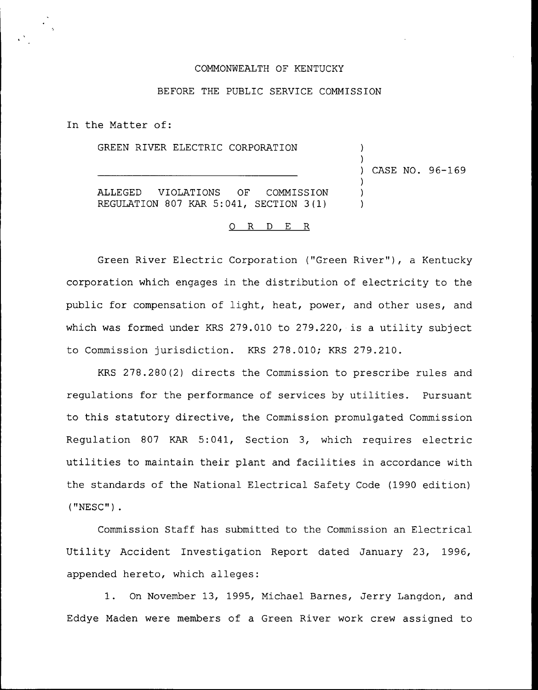### COMMONWEALTH OF KENTUCKY

## BEFORE THE PUBLIC SERVICE COMMISSION

In the Matter of:

GREEN RIVER ELECTRIC CORPORATION

) CASE NO. 96-169

) )

> ) ) )

ALLEGED VIOLATIONS OF COMMISSION REGULATION 807 KAR 5:041, SECTION 3(1)

### 0 R <sup>D</sup> E R

Green River Electric Corporation ("Green River"), a Kentucky corporation which engages in the distribution of electricity to the public for compensation of light, heat, power, and other uses, and which was formed under KRS 279.010 to 279.220, is a utility subject to Commission jurisdiction. KRS 278.010; KRS 279.210.

KRS 278.280(2) directs the Commission to prescribe rules and regulations for the performance of services by utilities. Pursuant to this statutory directive, the Commission promulgated Commission Regulation 807 KAR 5:041, Section 3, which requires electric utilities to maintain their plant and facilities in accordance with the standards of the National Electrical Safety Code (1990 edition) ("NESC") .

Commission Staff has submitted to the Commission an Electrical Utility Accident Investigation Report dated January 23, 1996, appended hereto, which alleges:

1. On November 13, 1995, Michael Barnes, Jerry Langdon, and Eddye Maden were members of a Green River work crew assigned to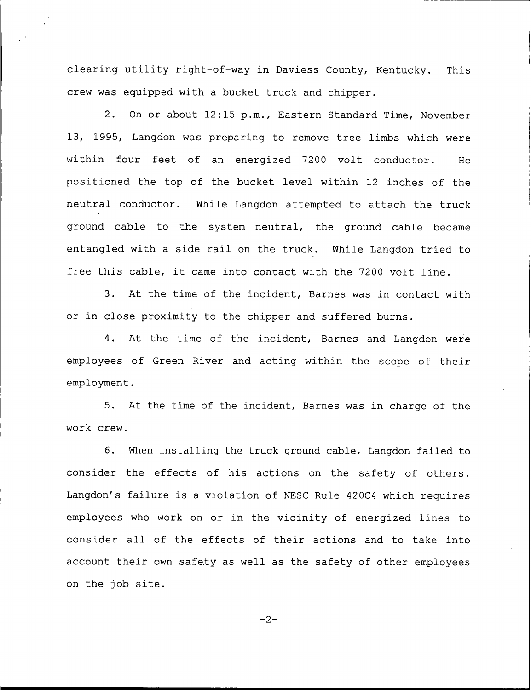clearing utility right-of-way in Daviess County, Kentucky. This crew was equipped with a bucket truck and chipper.

2. On or about 12:15 p.m., Eastern Standard Time, November 13, 1995, Langdon was preparing to remove tree limbs which were within four feet of an energized 7200 volt conductor. He positioned the top of the bucket level within 12 inches of the neutral conductor. While Langdon attempted to attach the truck ground cable to the system neutral, the ground cable became entangled with <sup>a</sup> side rail on the truck. While Langdon tried to free this cable, it came into contact with the <sup>7200</sup> volt line.

3. At the time of the incident, Barnes was in contact with or in close proximity to the chipper and suffered burns.

4. At the time of the incident, Barnes and Langdon were employees of Green River and acting within the scope of their employment.

5. At the time of the incident, Barnes was in charge of the work crew.

6. When installing the truck ground cable, Langdon failed to consider the effects of his actions on the safety of others. Langdon's failure is a violation of NESC Rule 420C4 which requires employees who work on or in the vicinity of energized lines to consider all of the effects of their actions and to take into account their own safety as well as the safety of other employees on the job site.

 $-2-$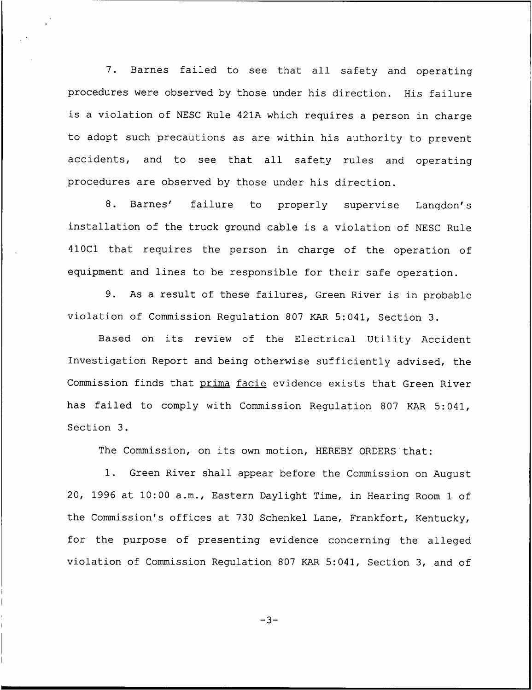7. Barnes failed to see that all safety and operating procedures were observed by those under his direction. His failure is <sup>a</sup> violation of NESC Rule 421A which requires <sup>a</sup> person in charge to adopt such precautions as are within his authority to prevent accidents, and to see that all safety rules and operating procedures are observed by those under his direction.

8. Barnes' failure to properly supervise Langdon's installation of the truck ground cable is a violation of NESC Rule 410C1 that requires the person in charge of the operation of equipment and lines to be responsible for their safe operation.

9. As <sup>a</sup> result of these failures, Green River is in probable violation of Commission Regulation 807 KAR 5:041, Section 3.

Based on its review of the Electrical Utility Accident Investigation Report and being otherwise sufficiently advised, the Commission finds that prima facie evidence exists that Green River has failed to comply with Commission Regulation 807 KAR 5:041, Section 3.

The Commission, on its own motion, HEREBY ORDERS that:

1. Green River shall appear before the Commission on August 20, 1996 at 10:00 a.m., Eastern Daylight Time, in Hearing Room <sup>1</sup> of the Commission's offices at 730 Schenkel Lane, Frankfort, Kentucky, for the purpose of presenting evidence concerning the alleged violation of Commission Regulation 807 KAR 5:041, Section 3, and of

 $-3-$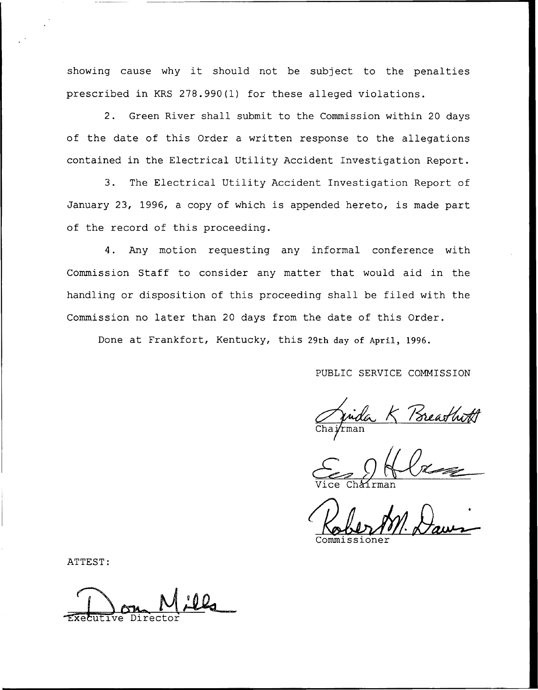showing cause why it should not be subject to the penalties prescribed in KRS 278.990(1) for these alleged violations.

2. Green River shall submit to the Commission within 20 days of the date of this Order a written response to the allegations contained in the Electrical Utility Accident Investigation Report.

3. The Electrical Utility Accident Investigation Report of January 23, 1996, a copy of which is appended hereto, is made part of the record of this proceeding.

4. Any motion requesting any informal conference with Commission Staff to consider any matter that would aid in the handling or disposition of this proceeding shall be filed with the Commission no later than 20 days from the date of this Order.

Done at Frankfort, Kentucky, this 29th day of April, 1996.

PUBLIC SERVICE COMMISSION

*fude*<br>rman

Vice Chairma

Commissione

ATTEST:

Executive Director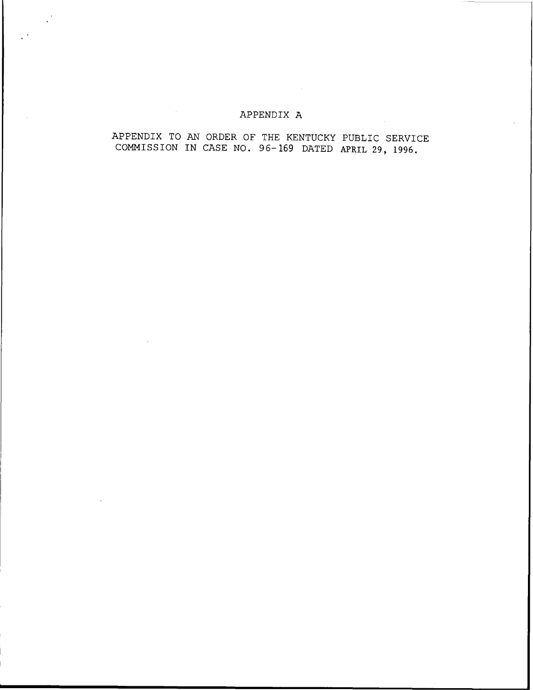## APPENDIX A

## APPENDIX TO AN ORDER OF THE KENTUCKY PUBLIC SERVICE COMMISSION IN CASE NO. 96—169 DATED APRIL 29, 1996,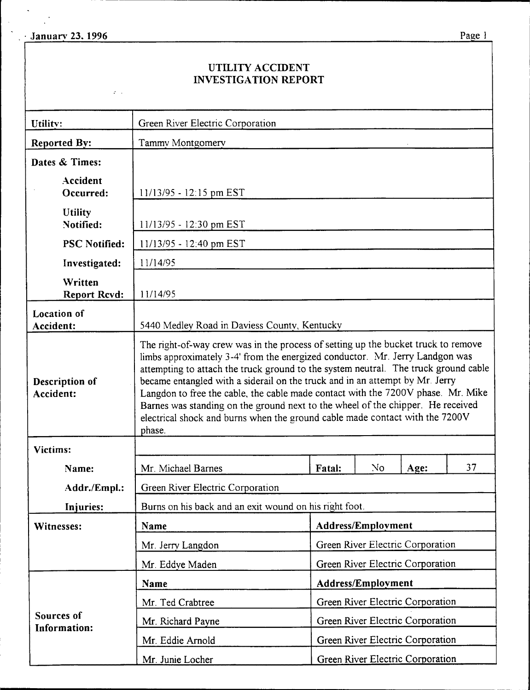$\mathcal{L}^{\pm}$  .

 $\frac{1}{2}$  .

 $\mathcal{L}_{\mathbf{K}}$  $\ddot{\phantom{1}}$ 

# UTILITY ACCIDENT INVESTIGATION REPORT

| Utility:                          | Green River Electric Corporation                                                                                                                                                                                                                                                                                                                                                                                                                                                                                                                                                                          |                                                                      |    |      |    |
|-----------------------------------|-----------------------------------------------------------------------------------------------------------------------------------------------------------------------------------------------------------------------------------------------------------------------------------------------------------------------------------------------------------------------------------------------------------------------------------------------------------------------------------------------------------------------------------------------------------------------------------------------------------|----------------------------------------------------------------------|----|------|----|
| <b>Reported By:</b>               | Tammy Montgomery                                                                                                                                                                                                                                                                                                                                                                                                                                                                                                                                                                                          |                                                                      |    |      |    |
| Dates & Times:                    |                                                                                                                                                                                                                                                                                                                                                                                                                                                                                                                                                                                                           |                                                                      |    |      |    |
| Accident<br>Occurred:             | $11/13/95 - 12:15$ pm EST                                                                                                                                                                                                                                                                                                                                                                                                                                                                                                                                                                                 |                                                                      |    |      |    |
| <b>Utility</b><br>Notified:       | 11/13/95 - 12:30 pm EST                                                                                                                                                                                                                                                                                                                                                                                                                                                                                                                                                                                   |                                                                      |    |      |    |
| <b>PSC Notified:</b>              | $11/13/95 - 12:40$ pm EST                                                                                                                                                                                                                                                                                                                                                                                                                                                                                                                                                                                 |                                                                      |    |      |    |
| Investigated:                     | 11/14/95                                                                                                                                                                                                                                                                                                                                                                                                                                                                                                                                                                                                  |                                                                      |    |      |    |
| Written<br><b>Report Rcvd:</b>    | 11/14/95                                                                                                                                                                                                                                                                                                                                                                                                                                                                                                                                                                                                  |                                                                      |    |      |    |
| <b>Location</b> of<br>Accident:   | 5440 Medley Road in Daviess County, Kentucky                                                                                                                                                                                                                                                                                                                                                                                                                                                                                                                                                              |                                                                      |    |      |    |
| Description of<br>Accident:       | The right-of-way crew was in the process of setting up the bucket truck to remove<br>limbs approximately 3-4' from the energized conductor. Mr. Jerry Landgon was<br>attempting to attach the truck ground to the system neutral. The truck ground cable<br>became entangled with a siderail on the truck and in an attempt by Mr. Jerry<br>Langdon to free the cable, the cable made contact with the 7200V phase. Mr. Mike<br>Barnes was standing on the ground next to the wheel of the chipper. He received<br>electrical shock and burns when the ground cable made contact with the 7200V<br>phase. |                                                                      |    |      |    |
| Victims:                          |                                                                                                                                                                                                                                                                                                                                                                                                                                                                                                                                                                                                           |                                                                      |    |      |    |
| Name:                             | Mr. Michael Barnes                                                                                                                                                                                                                                                                                                                                                                                                                                                                                                                                                                                        | <b>Fatal:</b>                                                        | No | Age: | 37 |
| Addr./Empl.:                      | Green River Electric Corporation                                                                                                                                                                                                                                                                                                                                                                                                                                                                                                                                                                          |                                                                      |    |      |    |
| Injuries:                         | Burns on his back and an exit wound on his right foot.                                                                                                                                                                                                                                                                                                                                                                                                                                                                                                                                                    |                                                                      |    |      |    |
| Witnesses:                        | Name                                                                                                                                                                                                                                                                                                                                                                                                                                                                                                                                                                                                      | Address/Employment                                                   |    |      |    |
|                                   | Mr. Jerry Langdon                                                                                                                                                                                                                                                                                                                                                                                                                                                                                                                                                                                         | Green River Electric Corporation                                     |    |      |    |
|                                   | Mr. Eddye Maden                                                                                                                                                                                                                                                                                                                                                                                                                                                                                                                                                                                           | Green River Electric Corporation                                     |    |      |    |
|                                   | <b>Name</b>                                                                                                                                                                                                                                                                                                                                                                                                                                                                                                                                                                                               | Address/Employment                                                   |    |      |    |
|                                   | Mr. Ted Crabtree                                                                                                                                                                                                                                                                                                                                                                                                                                                                                                                                                                                          | Green River Electric Corporation<br>Green River Electric Corporation |    |      |    |
| Sources of<br><b>Information:</b> | Mr. Richard Payne                                                                                                                                                                                                                                                                                                                                                                                                                                                                                                                                                                                         |                                                                      |    |      |    |
|                                   | Green River Electric Corporation<br>Mr. Eddie Arnold<br>Green River Electric Corporation<br>Mr. Junie Locher                                                                                                                                                                                                                                                                                                                                                                                                                                                                                              |                                                                      |    |      |    |
|                                   |                                                                                                                                                                                                                                                                                                                                                                                                                                                                                                                                                                                                           |                                                                      |    |      |    |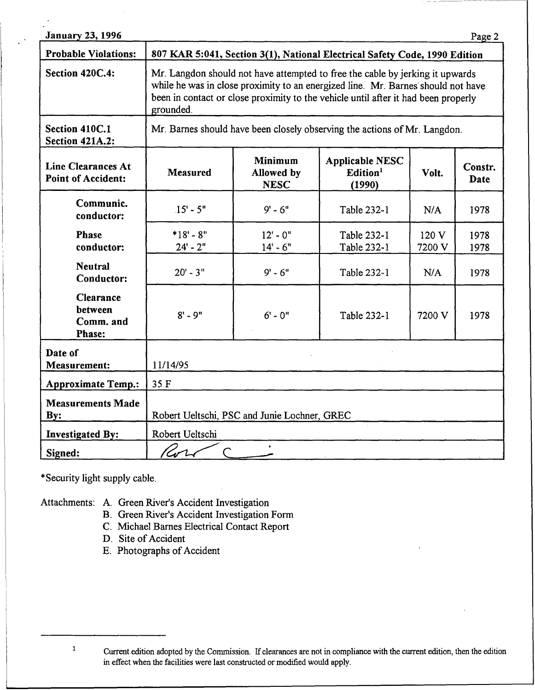| <b>January 23, 1996</b>                                |                                                                                                                                                                                                                                                                      |                                             |                                                          |                 | Page 2          |  |
|--------------------------------------------------------|----------------------------------------------------------------------------------------------------------------------------------------------------------------------------------------------------------------------------------------------------------------------|---------------------------------------------|----------------------------------------------------------|-----------------|-----------------|--|
| <b>Probable Violations:</b>                            | 807 KAR 5:041, Section 3(1), National Electrical Safety Code, 1990 Edition                                                                                                                                                                                           |                                             |                                                          |                 |                 |  |
| Section 420C.4:                                        | Mr. Langdon should not have attempted to free the cable by jerking it upwards<br>while he was in close proximity to an energized line. Mr. Barnes should not have<br>been in contact or close proximity to the vehicle until after it had been properly<br>grounded. |                                             |                                                          |                 |                 |  |
| Section 410C.1<br><b>Section 421A.2:</b>               | Mr. Barnes should have been closely observing the actions of Mr. Langdon.                                                                                                                                                                                            |                                             |                                                          |                 |                 |  |
| <b>Line Clearances At</b><br><b>Point of Accident:</b> | <b>Measured</b>                                                                                                                                                                                                                                                      | <b>Minimum</b><br>Allowed by<br><b>NESC</b> | <b>Applicable NESC</b><br>Edition <sup>1</sup><br>(1990) | Volt.           | Constr.<br>Date |  |
| Communic.<br>conductor:                                | $.15' - 5''$                                                                                                                                                                                                                                                         | $9' - 6''$                                  | Table 232-1                                              | N/A             | 1978            |  |
| Phase<br>conductor:                                    | $*18 - 8$ "<br>$24 - 2"$                                                                                                                                                                                                                                             | $12 - 0$ "<br>$14 - 6"$                     | Table 232-1<br>Table 232-1                               | 120 V<br>7200 V | 1978<br>1978    |  |
| <b>Neutral</b><br>Conductor:                           | $20' - 3''$                                                                                                                                                                                                                                                          | $9' - 6''$                                  | Table 232-1                                              | N/A             | 1978            |  |
| <b>Clearance</b><br>between<br>Comm. and<br>Phase:     | $8' - 9''$                                                                                                                                                                                                                                                           | $6' - 0''$                                  | Table 232-1                                              | 7200 V          | 1978            |  |
| Date of<br><b>Measurement:</b>                         | 11/14/95                                                                                                                                                                                                                                                             |                                             |                                                          |                 |                 |  |
| <b>Approximate Temp.:</b>                              | 35F                                                                                                                                                                                                                                                                  |                                             |                                                          |                 |                 |  |
| <b>Measurements Made</b><br>By:                        | Robert Ueltschi, PSC and Junie Lochner, GREC                                                                                                                                                                                                                         |                                             |                                                          |                 |                 |  |
| <b>Investigated By:</b>                                | Robert Ueltschi                                                                                                                                                                                                                                                      |                                             |                                                          |                 |                 |  |
| Signed:                                                |                                                                                                                                                                                                                                                                      |                                             |                                                          |                 |                 |  |

\*Security light supply cable.

 $\mathbf 1$ 

Attachments: A. Green River's Accident Investigation

- B. Green River's Accident Investigation Form
- C. Michael Barnes Electrical Contact Report
- D. Site of Accident
- E. Photographs of Accident

Current edition adopted by the Commission. If clearances are not in compliance with the current edition, then the edition in effect when the facilities were last constructed or modified would apply.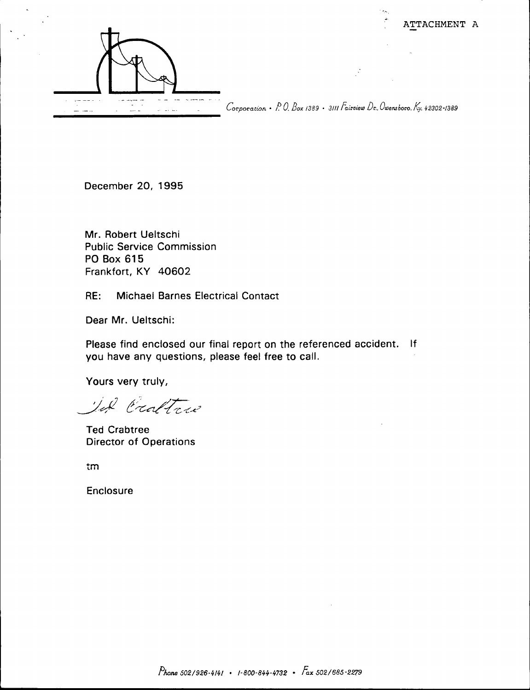

Corporation • P. O. Box 1389 · 3111 Fairview Dr., Owensboro, Ky. 42302-1389

December 20, 1995

Mr. Robert Ueltschi **Public Service Commission** PO Box 615 Frankfort, KY 40602

RE: **Michael Barnes Electrical Contact** 

Dear Mr. Ueltschi:

Please find enclosed our final report on the referenced accident. If you have any questions, please feel free to call.

Yours very truly,

II Cratters

**Ted Crabtree Director of Operations** 

tm

Enclosure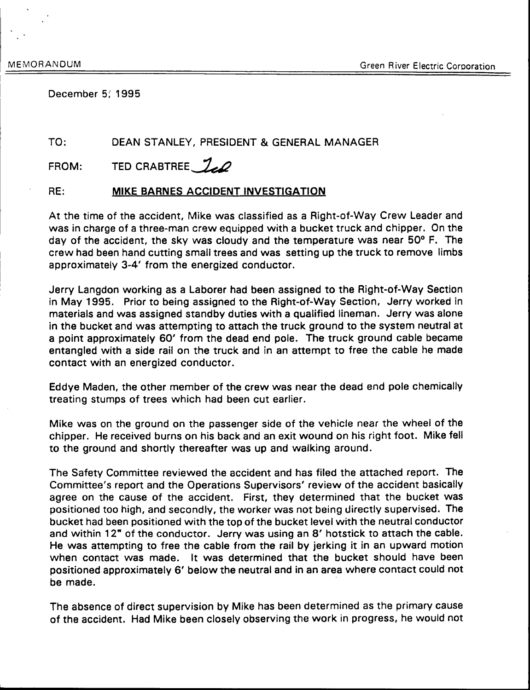December 5: 1995

#### TO: DEAN STANLEY, PRESIDENT & GENERAL MANAGER

FROM: TED CRABTREE 70

#### RE: **MIKE BARNES ACCIDENT INVESTIGATION**

At the time of the accident, Mike was classified as a Right-of-Way Crew Leader and was in charge of a three-man crew equipped with a bucket truck and chipper. On the day of the accident, the sky was cloudy and the temperature was near 50° F. The crew had been hand cutting small trees and was setting up the truck to remove limbs approximately 3-4' from the energized conductor.

Jerry Langdon working as a Laborer had been assigned to the Right-of-Way Section in May 1995. Prior to being assigned to the Right-of-Way Section, Jerry worked in materials and was assigned standby duties with a qualified lineman. Jerry was alone in the bucket and was attempting to attach the truck ground to the system neutral at a point approximately 60' from the dead end pole. The truck ground cable became entangled with a side rail on the truck and in an attempt to free the cable he made contact with an energized conductor.

Eddye Maden, the other member of the crew was near the dead end pole chemically treating stumps of trees which had been cut earlier.

Mike was on the ground on the passenger side of the vehicle near the wheel of the chipper. He received burns on his back and an exit wound on his right foot. Mike fell to the ground and shortly thereafter was up and walking around.

The Safety Committee reviewed the accident and has filed the attached report. The Committee's report and the Operations Supervisors' review of the accident basically agree on the cause of the accident. First, they determined that the bucket was positioned too high, and secondly, the worker was not being directly supervised. The bucket had been positioned with the top of the bucket level with the neutral conductor and within 12" of the conductor. Jerry was using an 8' hotstick to attach the cable. He was attempting to free the cable from the rail by jerking it in an upward motion when contact was made. It was determined that the bucket should have been positioned approximately 6' below the neutral and in an area where contact could not be made.

The absence of direct supervision by Mike has been determined as the primary cause of the accident. Had Mike been closely observing the work in progress, he would not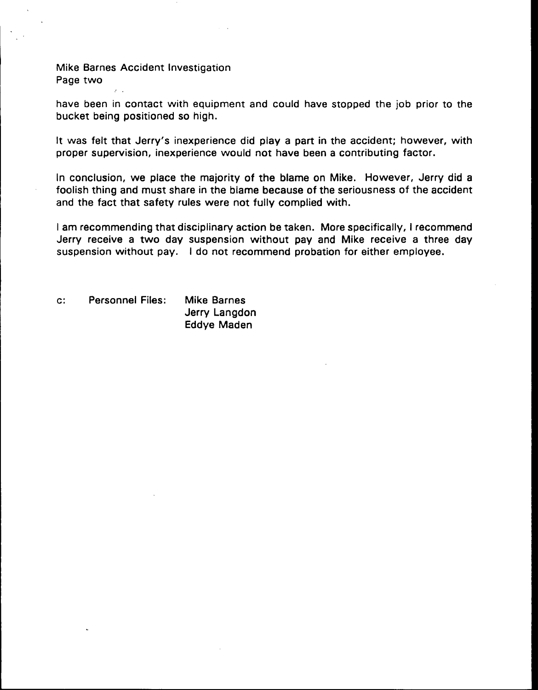Mike Barnes Accident Investigation Page two

have been in contact with equipment and could have stopped the job prior to the bucket being positioned so high.

It was felt that Jerry's inexperience did play a part in the accident; however, with proper supervision, inexperience would not have been a contributing factor.

In conclusion, we place the majority of the blame on Mike. However, Jerry did a foolish thing and must share in the blame because of the seriousness of the accident and the fact that safety rules were not fully complied with.

<sup>I</sup> am recommending that disciplinary action be taken. More specifically, <sup>I</sup> recommend Jerry receive a two day suspension without pay and Mike receive a three day suspension without pay. <sup>I</sup> do not recommend probation for either employee.

c". Personnel Files: Mike Barnes Jerry Langdon Eddye Maden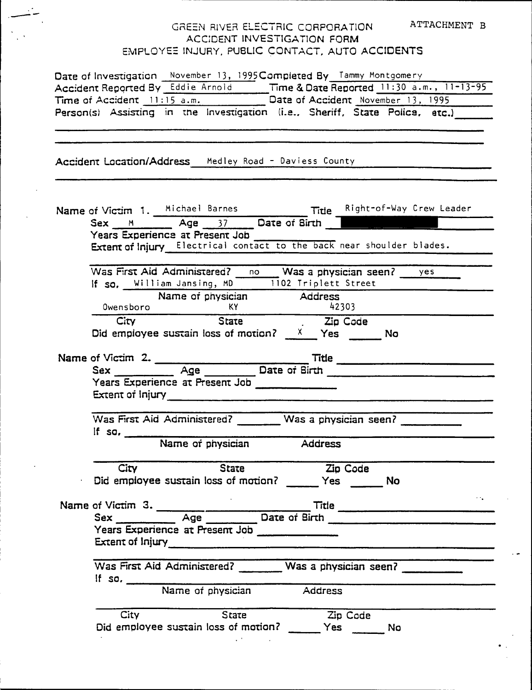# GREEN RIVER ELECTRIC CORPORATION ATTACHMENT B ACCIDENT INVESTIGATION FORM EMPLOYEE INJURY, PUBLIC CONTACT, AUTO ACCIDENTS

|          | Date of Investigation November 13, 1995 Completed By Tammy Montgomery |          |                                                                                                             |
|----------|-----------------------------------------------------------------------|----------|-------------------------------------------------------------------------------------------------------------|
|          |                                                                       |          | Accident Reported By Eddie Arnold Time & Date Reported 11:30 a.m., 11-13-95                                 |
|          |                                                                       |          | Time of Accident 11:15 a.m. Date of Accident November 13, 1995                                              |
|          |                                                                       |          | Person(s) Assisting in the Investigation (i.e., Sheriff, State Police, etc.)                                |
|          |                                                                       |          |                                                                                                             |
|          | Accident Location/Address Medley Road - Daviess County                |          |                                                                                                             |
|          |                                                                       |          |                                                                                                             |
|          |                                                                       |          | Name of Victim 1. Michael Barnes Title Right-of-Way Crew Leader<br>Sex M Age 37 Date of Birth               |
|          | Years Experience at Present Job                                       |          |                                                                                                             |
|          |                                                                       |          | Extent of Injury Electrical contact to the back near shoulder blades.                                       |
|          |                                                                       |          |                                                                                                             |
|          |                                                                       |          | Was First Aid Administered? no Was a physician seen? yes<br>If so, William Jansing, MD 1102 Triplett Street |
|          |                                                                       |          |                                                                                                             |
|          | Name of physician Address                                             |          |                                                                                                             |
|          | Owensboro KY 42303<br>City State Zip Code                             | 42303    |                                                                                                             |
|          |                                                                       |          |                                                                                                             |
|          | Did employee sustain loss of motion? $X$ Yes No                       |          |                                                                                                             |
|          |                                                                       |          |                                                                                                             |
|          |                                                                       |          |                                                                                                             |
|          | Years Experience at Present Job                                       |          |                                                                                                             |
|          |                                                                       |          |                                                                                                             |
|          |                                                                       |          |                                                                                                             |
|          | Was First Aid Administered? ________ Was a physician seen?            |          |                                                                                                             |
| If $so.$ |                                                                       |          |                                                                                                             |
|          | Name of physician Address                                             |          |                                                                                                             |
|          |                                                                       |          |                                                                                                             |
| City     | <b>State</b>                                                          | Zip Code |                                                                                                             |
|          | Did employee sustain loss of motion? ______ Yes ______ No             |          |                                                                                                             |
|          |                                                                       |          | $\sim$ $\sim$                                                                                               |
|          |                                                                       |          |                                                                                                             |
|          | Years Experience at Present Job                                       |          |                                                                                                             |
|          |                                                                       |          |                                                                                                             |
|          |                                                                       |          |                                                                                                             |
|          |                                                                       |          | Was First Aid Administered? ________ Was a physician seen? ___________                                      |
|          |                                                                       |          |                                                                                                             |
|          | If so. Name of physician Address                                      |          |                                                                                                             |
| City     | State                                                                 | Zip Code |                                                                                                             |
|          | Did employee sustain loss of motion? ______ Yes ______ No             |          |                                                                                                             |
|          | $\mathcal{L}(\mathcal{M})$ and $\mathcal{L}(\mathcal{M})$ .           |          |                                                                                                             |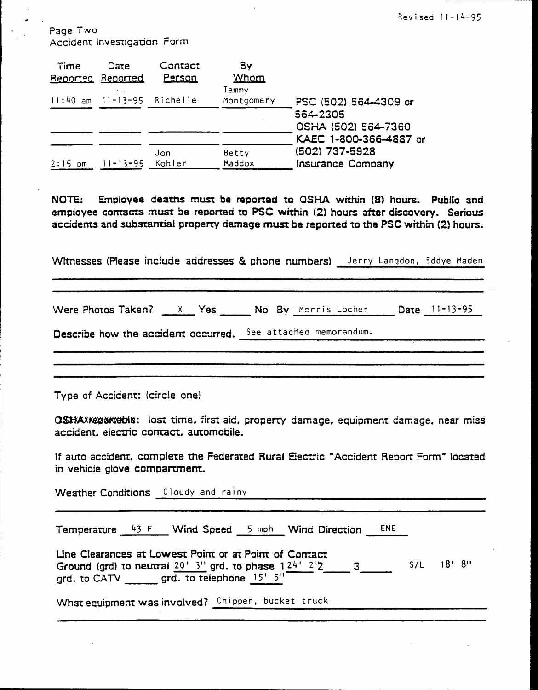Page Two Accident investigation Form

| Time      | Date<br>Reported Reported  | Contact<br>Person | By<br>Whom          |                                                               |
|-----------|----------------------------|-------------------|---------------------|---------------------------------------------------------------|
|           | 11:40 am 11-13-95 Richelle |                   | Tammy<br>Montgomery | PSC (502) 564-4309 or                                         |
|           |                            |                   |                     | 564-2305<br>OSHA (502) 564-7360                               |
| $2:15$ pm | $11 - 13 - 95$             | Jon<br>Kohler     | Betty<br>Maddox     | KAEC 1-800-366-4887 or<br>(502) 737-5928<br>Insurance Company |

NOTE: Employee deaths must be reported to OSHA within (8) hours. Public and empioyee contacts must be reported to PSC within {2) hours after discovery. Serious accidents and substantial property damage must be reported to the PSC within (2) hours.

Witnesses (Please include addresses & phone numbers) Jerry Langdon, Eddye Maden

Were Photos Taken? X Yes No By Morris Locher Date 11-13-95

Describe how the accident occurred. See attached memorandum.

Type of Accident: (circle one)

QSHAXXXXXXXXXHOME: lost time, first aid, property damage, equipment damage, near miss accident, electric contact, automobile.

If auto accident, complete the Federated Rural Electric "Accident Report Form" located in vehicle glove compartment.

Weather Conditions Cloudy and rainy

Temperature  $43 F$  Wind Speed  $5$  mph Wind Direction ENE

Line Clearances at Lowest Point or at Point of Contact Line Clearances at Lowest Point or at Point of Contact<br>Ground (grd) to neutral <u>20' 3''</u> grd. to phase 124' 2'2\_\_\_\_\_ 3\_\_\_\_\_\_\_\_\_ S/L = 18' 8''<br>grd. to CATV \_\_\_\_\_\_\_ grd. to telephone <u>15' 5''</u>

What equipment was involved? Chipper, bucket truck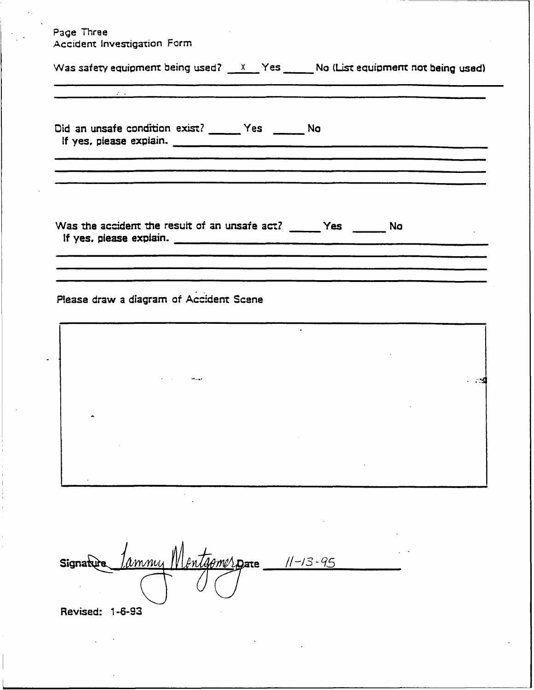Page Three Accident Investigation Form

| Accident investigation rum                                                                    |           |
|-----------------------------------------------------------------------------------------------|-----------|
| Was safety equipment being used? $X = Y$ es $\frac{X}{Y}$ No (List equipment not being used)  |           |
|                                                                                               |           |
| Did an unsafe condition exist? ______ Yes ______ No<br>If yes, piease explain.                |           |
|                                                                                               |           |
| Was the accident the result of an unsafe act? ______ Yes ______ No<br>If yes, piease explain. |           |
| Please draw a diagram of Accident Scene                                                       |           |
|                                                                                               | $\bullet$ |
|                                                                                               |           |
|                                                                                               |           |
|                                                                                               |           |
|                                                                                               |           |
| <u> 1amny Montgomerg</u> are 11-13-95<br>Signature                                            |           |
| Revised: 1-6-93                                                                               |           |
|                                                                                               |           |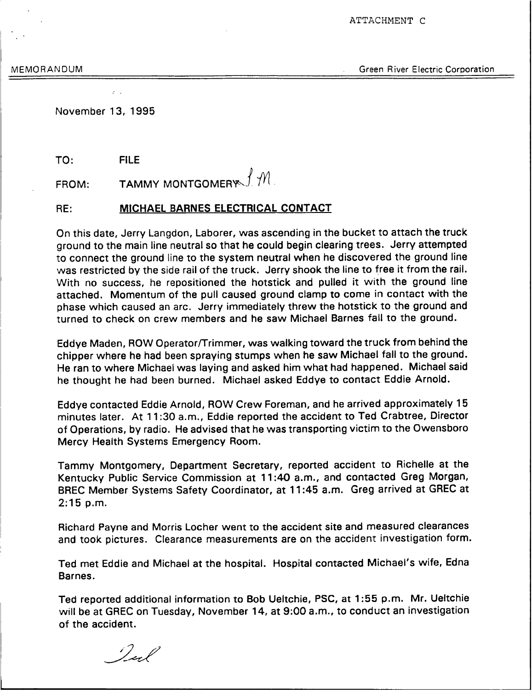ATTACHMENT C

MEMORANDUM Green River Electric Corporation

November 13, 1995

TO: FILE

FROM: TAMMY MONTGOMERY  $f$   $\mathcal{M}$ .

RE: MICHAEI BARNES ELECTRICAL CONTACT

Qn this date, Jerry Langdon, Laborer, was ascending in the bucket to attach the truck ground to the main line neutral so that he could begin clearing trees. Jerry attempted to connect the ground line to the system neutral when he discovered the ground line was restricted by the side rail of the truck. Jerry shook the line to free it from the rail. With no success, he repositioned the hotstick and pulled it with the ground line attached. Momentum of the pull caused ground clamp to come in contact with the phase which caused an arc. Jerry immediately threw the hotstick to the ground and turned to check on crew members and he saw Michael Barnes fall to the ground.

Eddye Maden, ROW Operator/Trimmer, was walking toward the truck from behind the chipper where he had been spraying stumps when he saw Michael fall to the ground. He ran to where Michael was laying and asked him what had happened. Michael said he thought he had been burned. Michael asked Eddye to contact Eddie Arnold.

Eddye contacted Eddie Arnold, ROW Crew Foreman, and he arrived approximately 15 minutes later. At 11:30 a.m., Eddie reported the accident to Ted Crabtree, Director of Operations, by radio. He advised that he was transporting victim to the Owensboro Mercy Health Systems Emergency Room.

Tammy Montgomery, Department Secretary, reported accident to Richelle at the Kentucky Public Service Commission at 11:40 a.m., and contacted Greg Morgan, BREC Member Systems Safety Coordinator, at 11:45 a.m. Greg arrived at GREC at 2:15 p.m.

Richard Payne and Morris Locher went to the accident site and measured clearances and took pictures. Clearance measurements are on the accident investigation form.

Ted met Eddie and Michael at the hospital. Hospital contacted Michael's wife, Edna Barnes.

Ted reported additional information to Bob Ueltchie, PSC, at 1:55 p.m. Mr. Ueltchie will be at GREC on Tuesday, November 14, at 9:00 a.m., to conduct an investigation of the accident.

I est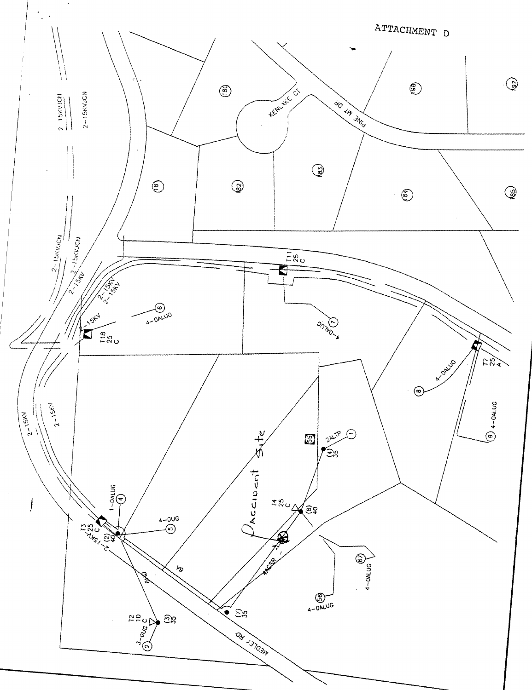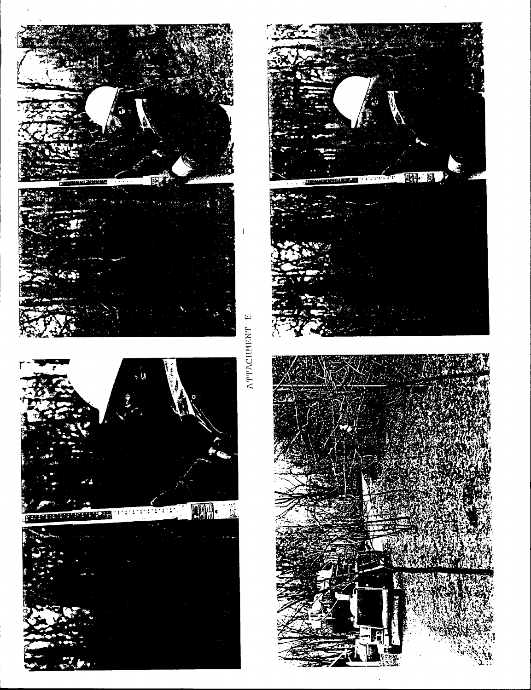

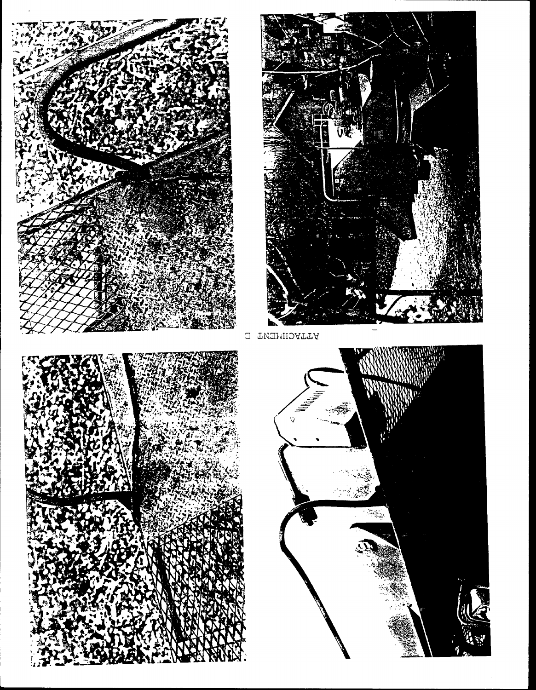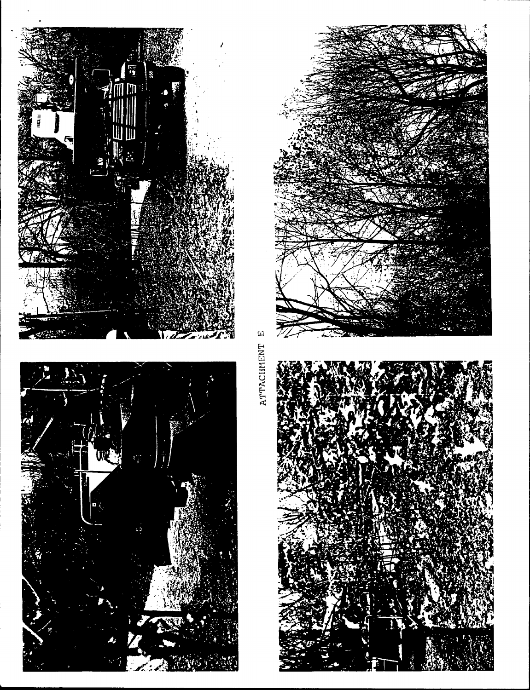



ATTACIIMENT E